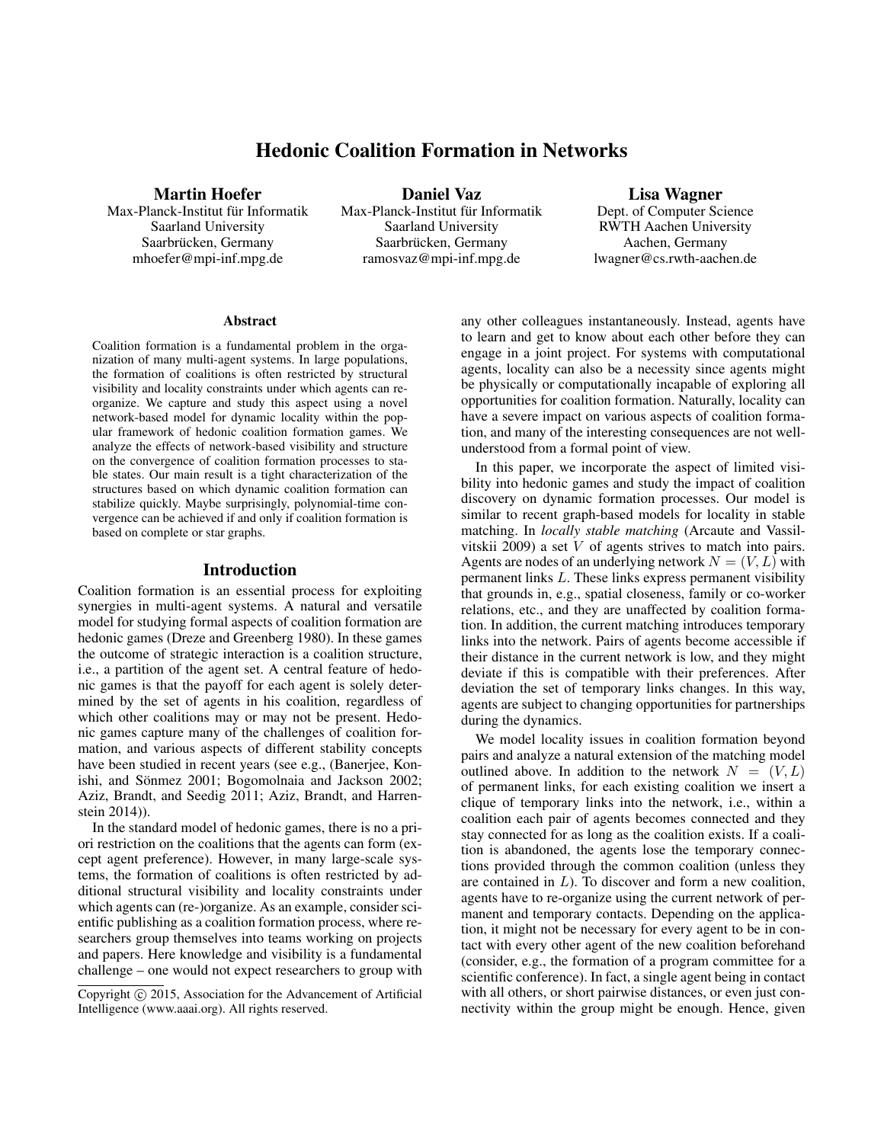# Hedonic Coalition Formation in Networks

### Martin Hoefer

Max-Planck-Institut für Informatik Saarland University Saarbrücken, Germany mhoefer@mpi-inf.mpg.de

Daniel Vaz Max-Planck-Institut für Informatik Saarland University Saarbrücken, Germany ramosvaz@mpi-inf.mpg.de

Lisa Wagner Dept. of Computer Science RWTH Aachen University Aachen, Germany lwagner@cs.rwth-aachen.de

#### Abstract

Coalition formation is a fundamental problem in the organization of many multi-agent systems. In large populations, the formation of coalitions is often restricted by structural visibility and locality constraints under which agents can reorganize. We capture and study this aspect using a novel network-based model for dynamic locality within the popular framework of hedonic coalition formation games. We analyze the effects of network-based visibility and structure on the convergence of coalition formation processes to stable states. Our main result is a tight characterization of the structures based on which dynamic coalition formation can stabilize quickly. Maybe surprisingly, polynomial-time convergence can be achieved if and only if coalition formation is based on complete or star graphs.

#### Introduction

Coalition formation is an essential process for exploiting synergies in multi-agent systems. A natural and versatile model for studying formal aspects of coalition formation are hedonic games (Dreze and Greenberg 1980). In these games the outcome of strategic interaction is a coalition structure, i.e., a partition of the agent set. A central feature of hedonic games is that the payoff for each agent is solely determined by the set of agents in his coalition, regardless of which other coalitions may or may not be present. Hedonic games capture many of the challenges of coalition formation, and various aspects of different stability concepts have been studied in recent years (see e.g., (Banerjee, Konishi, and Sönmez 2001; Bogomolnaia and Jackson 2002; Aziz, Brandt, and Seedig 2011; Aziz, Brandt, and Harrenstein 2014)).

In the standard model of hedonic games, there is no a priori restriction on the coalitions that the agents can form (except agent preference). However, in many large-scale systems, the formation of coalitions is often restricted by additional structural visibility and locality constraints under which agents can (re-)organize. As an example, consider scientific publishing as a coalition formation process, where researchers group themselves into teams working on projects and papers. Here knowledge and visibility is a fundamental challenge – one would not expect researchers to group with

any other colleagues instantaneously. Instead, agents have to learn and get to know about each other before they can engage in a joint project. For systems with computational agents, locality can also be a necessity since agents might be physically or computationally incapable of exploring all opportunities for coalition formation. Naturally, locality can have a severe impact on various aspects of coalition formation, and many of the interesting consequences are not wellunderstood from a formal point of view.

In this paper, we incorporate the aspect of limited visibility into hedonic games and study the impact of coalition discovery on dynamic formation processes. Our model is similar to recent graph-based models for locality in stable matching. In *locally stable matching* (Arcaute and Vassilvitskii 2009) a set  $V$  of agents strives to match into pairs. Agents are nodes of an underlying network  $N = (V, L)$  with permanent links L. These links express permanent visibility that grounds in, e.g., spatial closeness, family or co-worker relations, etc., and they are unaffected by coalition formation. In addition, the current matching introduces temporary links into the network. Pairs of agents become accessible if their distance in the current network is low, and they might deviate if this is compatible with their preferences. After deviation the set of temporary links changes. In this way, agents are subject to changing opportunities for partnerships during the dynamics.

We model locality issues in coalition formation beyond pairs and analyze a natural extension of the matching model outlined above. In addition to the network  $N = (V, L)$ of permanent links, for each existing coalition we insert a clique of temporary links into the network, i.e., within a coalition each pair of agents becomes connected and they stay connected for as long as the coalition exists. If a coalition is abandoned, the agents lose the temporary connections provided through the common coalition (unless they are contained in L). To discover and form a new coalition, agents have to re-organize using the current network of permanent and temporary contacts. Depending on the application, it might not be necessary for every agent to be in contact with every other agent of the new coalition beforehand (consider, e.g., the formation of a program committee for a scientific conference). In fact, a single agent being in contact with all others, or short pairwise distances, or even just connectivity within the group might be enough. Hence, given

Copyright (c) 2015, Association for the Advancement of Artificial Intelligence (www.aaai.org). All rights reserved.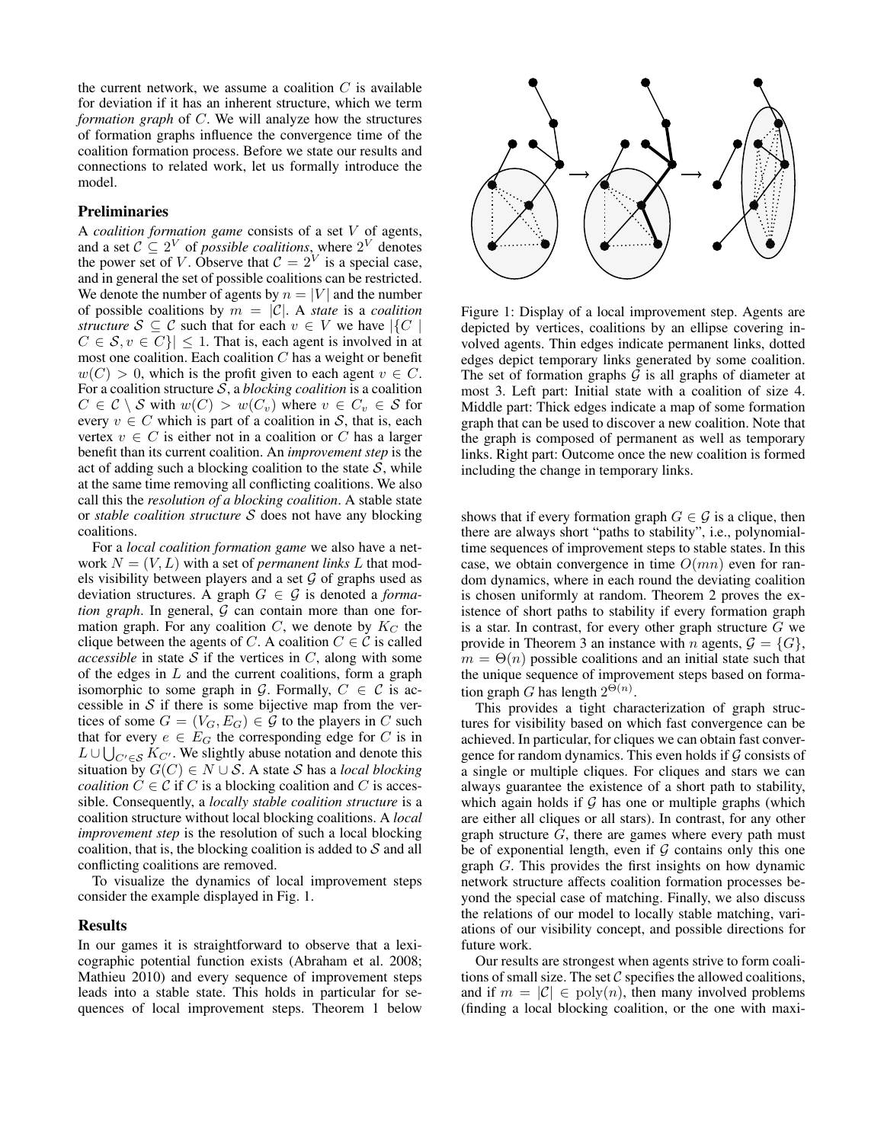the current network, we assume a coalition  $C$  is available for deviation if it has an inherent structure, which we term *formation graph* of C. We will analyze how the structures of formation graphs influence the convergence time of the coalition formation process. Before we state our results and connections to related work, let us formally introduce the model.

## Preliminaries

A *coalition formation game* consists of a set V of agents, and a set  $C \subseteq 2^V$  of *possible coalitions*, where  $2^V$  denotes the power set of V. Observe that  $C = 2^V$  is a special case, and in general the set of possible coalitions can be restricted. We denote the number of agents by  $n = |V|$  and the number of possible coalitions by  $m = |\mathcal{C}|$ . A *state* is a *coalition structure*  $S \subseteq C$  such that for each  $v \in V$  we have  $|\{C\}|$  $C \in \mathcal{S}, v \in C$  |  $\leq 1$ . That is, each agent is involved in at most one coalition. Each coalition  $C$  has a weight or benefit  $w(C) > 0$ , which is the profit given to each agent  $v \in C$ . For a coalition structure S, a *blocking coalition* is a coalition  $C \in \mathcal{C} \setminus \mathcal{S}$  with  $w(C) > w(C_v)$  where  $v \in C_v \in \mathcal{S}$  for every  $v \in C$  which is part of a coalition in S, that is, each vertex  $v \in C$  is either not in a coalition or C has a larger benefit than its current coalition. An *improvement step* is the act of adding such a blocking coalition to the state  $S$ , while at the same time removing all conflicting coalitions. We also call this the *resolution of a blocking coalition*. A stable state or *stable coalition structure* S does not have any blocking coalitions.

For a *local coalition formation game* we also have a network  $N = (V, L)$  with a set of *permanent links* L that models visibility between players and a set  $G$  of graphs used as deviation structures. A graph  $G \in \mathcal{G}$  is denoted a *forma*- $$ mation graph. For any coalition  $C$ , we denote by  $K_C$  the clique between the agents of C. A coalition  $C \in \mathcal{C}$  is called *accessible* in state  $S$  if the vertices in  $C$ , along with some of the edges in  $L$  and the current coalitions, form a graph isomorphic to some graph in G. Formally,  $C \in \mathcal{C}$  is accessible in  $S$  if there is some bijective map from the vertices of some  $G = (V_G, E_G) \in \mathcal{G}$  to the players in C such that for every  $e \in E_G$  the corresponding edge for C is in  $L \cup \bigcup_{C' \in \mathcal{S}} K_{C'}$ . We slightly abuse notation and denote this situation by  $G(C) \in N \cup S$ . A state S has a *local blocking coalition*  $C \in \mathcal{C}$  if C is a blocking coalition and C is accessible. Consequently, a *locally stable coalition structure* is a coalition structure without local blocking coalitions. A *local improvement step* is the resolution of such a local blocking coalition, that is, the blocking coalition is added to  $S$  and all conflicting coalitions are removed.

To visualize the dynamics of local improvement steps consider the example displayed in Fig. 1.

#### Results

In our games it is straightforward to observe that a lexicographic potential function exists (Abraham et al. 2008; Mathieu 2010) and every sequence of improvement steps leads into a stable state. This holds in particular for sequences of local improvement steps. Theorem 1 below



Figure 1: Display of a local improvement step. Agents are depicted by vertices, coalitions by an ellipse covering involved agents. Thin edges indicate permanent links, dotted edges depict temporary links generated by some coalition. The set of formation graphs  $G$  is all graphs of diameter at most 3. Left part: Initial state with a coalition of size 4. Middle part: Thick edges indicate a map of some formation graph that can be used to discover a new coalition. Note that the graph is composed of permanent as well as temporary links. Right part: Outcome once the new coalition is formed including the change in temporary links.

shows that if every formation graph  $G \in \mathcal{G}$  is a clique, then there are always short "paths to stability", i.e., polynomialtime sequences of improvement steps to stable states. In this case, we obtain convergence in time  $O(mn)$  even for random dynamics, where in each round the deviating coalition is chosen uniformly at random. Theorem 2 proves the existence of short paths to stability if every formation graph is a star. In contrast, for every other graph structure  $G$  we provide in Theorem 3 an instance with *n* agents,  $\mathcal{G} = \{G\},\$  $m = \Theta(n)$  possible coalitions and an initial state such that the unique sequence of improvement steps based on formation graph G has length  $2^{\Theta(n)}$ .

This provides a tight characterization of graph structures for visibility based on which fast convergence can be achieved. In particular, for cliques we can obtain fast convergence for random dynamics. This even holds if  $G$  consists of a single or multiple cliques. For cliques and stars we can always guarantee the existence of a short path to stability, which again holds if  $G$  has one or multiple graphs (which are either all cliques or all stars). In contrast, for any other graph structure  $G$ , there are games where every path must be of exponential length, even if  $G$  contains only this one graph G. This provides the first insights on how dynamic network structure affects coalition formation processes beyond the special case of matching. Finally, we also discuss the relations of our model to locally stable matching, variations of our visibility concept, and possible directions for future work.

Our results are strongest when agents strive to form coalitions of small size. The set  $C$  specifies the allowed coalitions, and if  $m = |\mathcal{C}| \in \text{poly}(n)$ , then many involved problems (finding a local blocking coalition, or the one with maxi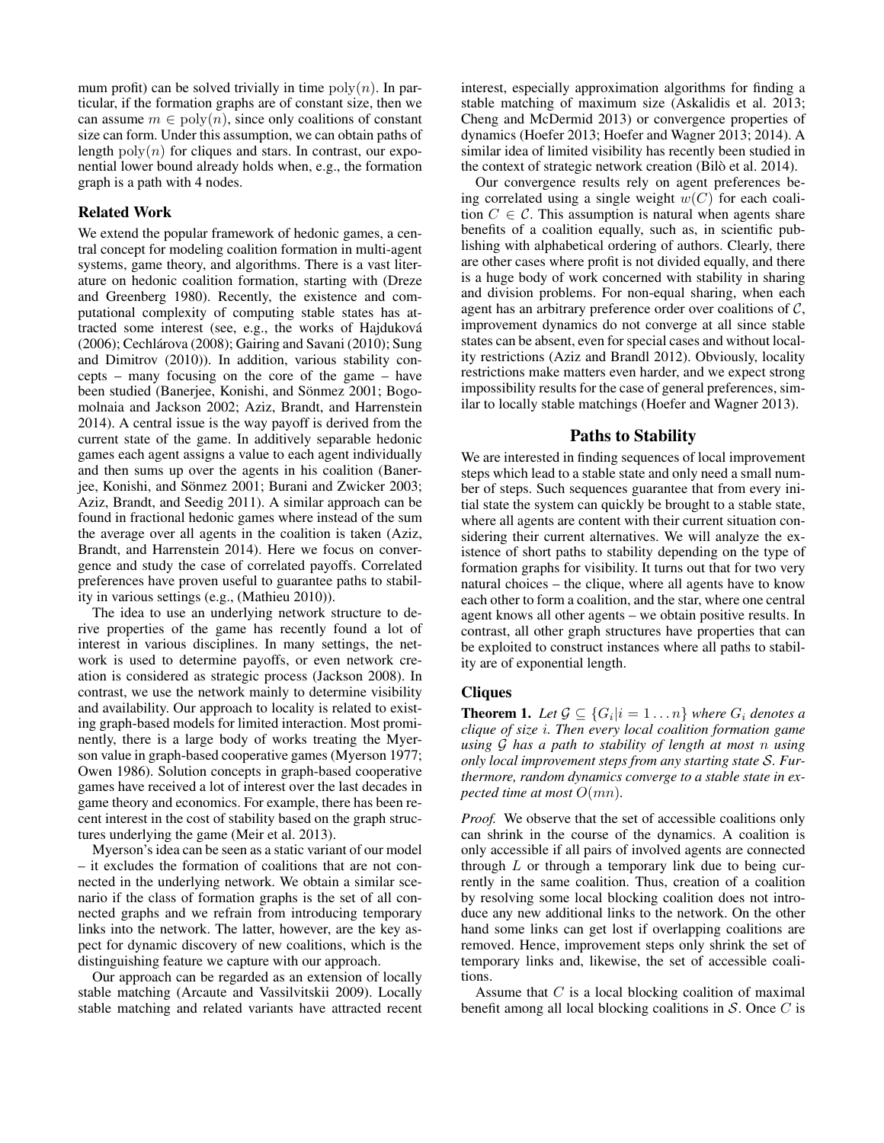mum profit) can be solved trivially in time  $poly(n)$ . In particular, if the formation graphs are of constant size, then we can assume  $m \in \text{poly}(n)$ , since only coalitions of constant size can form. Under this assumption, we can obtain paths of length  $poly(n)$  for cliques and stars. In contrast, our exponential lower bound already holds when, e.g., the formation graph is a path with 4 nodes.

# Related Work

We extend the popular framework of hedonic games, a central concept for modeling coalition formation in multi-agent systems, game theory, and algorithms. There is a vast literature on hedonic coalition formation, starting with (Dreze and Greenberg 1980). Recently, the existence and computational complexity of computing stable states has attracted some interest (see, e.g., the works of Hajdukova´ (2006); Cechlárova (2008); Gairing and Savani (2010); Sung and Dimitrov (2010)). In addition, various stability concepts – many focusing on the core of the game – have been studied (Banerjee, Konishi, and Sönmez 2001; Bogomolnaia and Jackson 2002; Aziz, Brandt, and Harrenstein 2014). A central issue is the way payoff is derived from the current state of the game. In additively separable hedonic games each agent assigns a value to each agent individually and then sums up over the agents in his coalition (Banerjee, Konishi, and Sönmez 2001; Burani and Zwicker 2003; Aziz, Brandt, and Seedig 2011). A similar approach can be found in fractional hedonic games where instead of the sum the average over all agents in the coalition is taken (Aziz, Brandt, and Harrenstein 2014). Here we focus on convergence and study the case of correlated payoffs. Correlated preferences have proven useful to guarantee paths to stability in various settings (e.g., (Mathieu 2010)).

The idea to use an underlying network structure to derive properties of the game has recently found a lot of interest in various disciplines. In many settings, the network is used to determine payoffs, or even network creation is considered as strategic process (Jackson 2008). In contrast, we use the network mainly to determine visibility and availability. Our approach to locality is related to existing graph-based models for limited interaction. Most prominently, there is a large body of works treating the Myerson value in graph-based cooperative games (Myerson 1977; Owen 1986). Solution concepts in graph-based cooperative games have received a lot of interest over the last decades in game theory and economics. For example, there has been recent interest in the cost of stability based on the graph structures underlying the game (Meir et al. 2013).

Myerson's idea can be seen as a static variant of our model – it excludes the formation of coalitions that are not connected in the underlying network. We obtain a similar scenario if the class of formation graphs is the set of all connected graphs and we refrain from introducing temporary links into the network. The latter, however, are the key aspect for dynamic discovery of new coalitions, which is the distinguishing feature we capture with our approach.

Our approach can be regarded as an extension of locally stable matching (Arcaute and Vassilvitskii 2009). Locally stable matching and related variants have attracted recent interest, especially approximation algorithms for finding a stable matching of maximum size (Askalidis et al. 2013; Cheng and McDermid 2013) or convergence properties of dynamics (Hoefer 2013; Hoefer and Wagner 2013; 2014). A similar idea of limited visibility has recently been studied in the context of strategic network creation (Bilò et al. 2014).

Our convergence results rely on agent preferences being correlated using a single weight  $w(C)$  for each coalition  $C \in \mathcal{C}$ . This assumption is natural when agents share benefits of a coalition equally, such as, in scientific publishing with alphabetical ordering of authors. Clearly, there are other cases where profit is not divided equally, and there is a huge body of work concerned with stability in sharing and division problems. For non-equal sharing, when each agent has an arbitrary preference order over coalitions of  $C$ , improvement dynamics do not converge at all since stable states can be absent, even for special cases and without locality restrictions (Aziz and Brandl 2012). Obviously, locality restrictions make matters even harder, and we expect strong impossibility results for the case of general preferences, similar to locally stable matchings (Hoefer and Wagner 2013).

## Paths to Stability

We are interested in finding sequences of local improvement steps which lead to a stable state and only need a small number of steps. Such sequences guarantee that from every initial state the system can quickly be brought to a stable state, where all agents are content with their current situation considering their current alternatives. We will analyze the existence of short paths to stability depending on the type of formation graphs for visibility. It turns out that for two very natural choices – the clique, where all agents have to know each other to form a coalition, and the star, where one central agent knows all other agents – we obtain positive results. In contrast, all other graph structures have properties that can be exploited to construct instances where all paths to stability are of exponential length.

### **Cliques**

**Theorem 1.** Let  $\mathcal{G} \subseteq \{G_i | i = 1 \dots n\}$  where  $G_i$  denotes a *clique of size* i*. Then every local coalition formation game using* G *has a path to stability of length at most* n *using only local improvement steps from any starting state* S*. Furthermore, random dynamics converge to a stable state in expected time at most* O(mn)*.*

*Proof.* We observe that the set of accessible coalitions only can shrink in the course of the dynamics. A coalition is only accessible if all pairs of involved agents are connected through  $L$  or through a temporary link due to being currently in the same coalition. Thus, creation of a coalition by resolving some local blocking coalition does not introduce any new additional links to the network. On the other hand some links can get lost if overlapping coalitions are removed. Hence, improvement steps only shrink the set of temporary links and, likewise, the set of accessible coalitions.

Assume that  $C$  is a local blocking coalition of maximal benefit among all local blocking coalitions in  $S$ . Once  $C$  is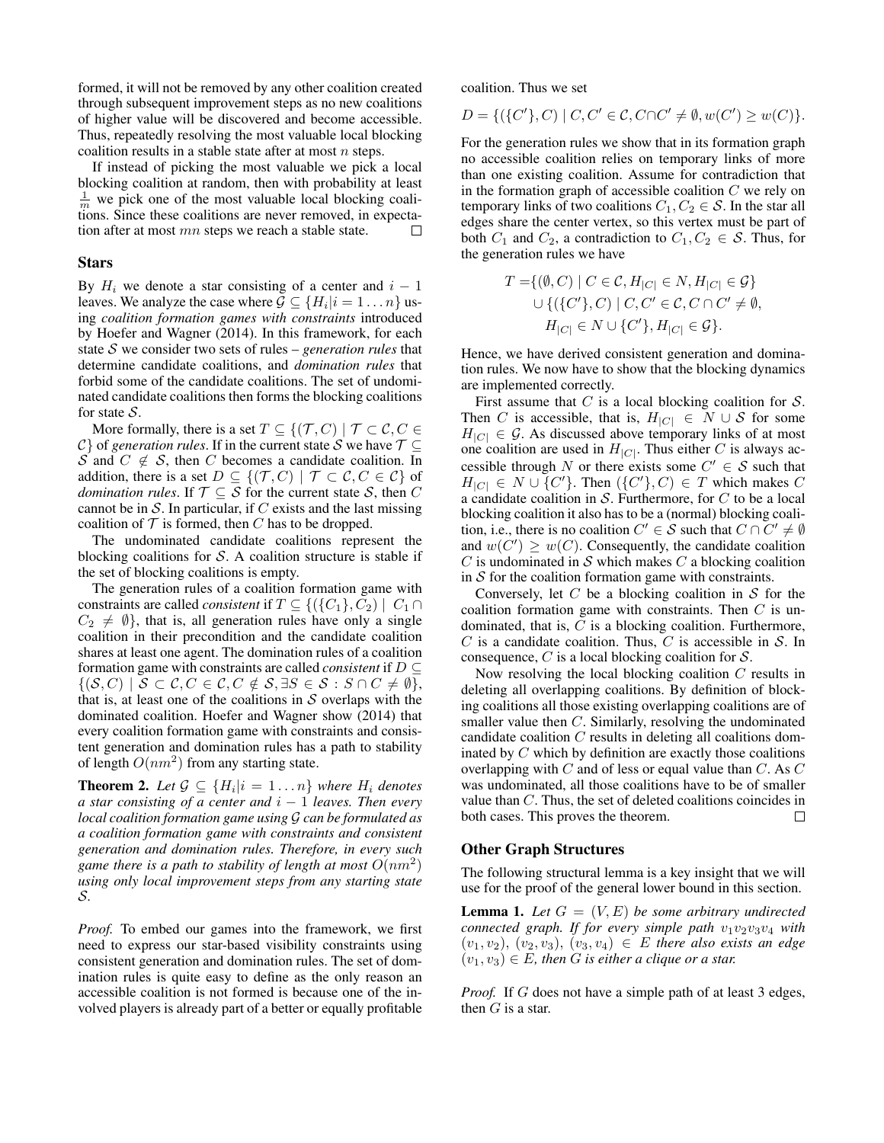formed, it will not be removed by any other coalition created through subsequent improvement steps as no new coalitions of higher value will be discovered and become accessible. Thus, repeatedly resolving the most valuable local blocking coalition results in a stable state after at most  $n$  steps.

If instead of picking the most valuable we pick a local blocking coalition at random, then with probability at least  $\frac{1}{m}$  we pick one of the most valuable local blocking coalitions. Since these coalitions are never removed, in expectation after at most mn steps we reach a stable state.  $\Box$ 

#### Stars

By  $H_i$  we denote a star consisting of a center and  $i - 1$ leaves. We analyze the case where  $\mathcal{G} \subseteq \{H_i | i = 1 \dots n\}$  using *coalition formation games with constraints* introduced by Hoefer and Wagner (2014). In this framework, for each state S we consider two sets of rules – *generation rules* that determine candidate coalitions, and *domination rules* that forbid some of the candidate coalitions. The set of undominated candidate coalitions then forms the blocking coalitions for state  $S$ .

More formally, there is a set  $T \subseteq \{(\mathcal{T}, C) \mid \mathcal{T} \subset \mathcal{C}, C \in$  $\mathcal{C}$  of *generation rules*. If in the current state S we have  $\mathcal{T} \subseteq$ S and  $C \notin S$ , then C becomes a candidate coalition. In addition, there is a set  $D \subseteq \{(\mathcal{T}, C) \mid \mathcal{T} \subset \mathcal{C}, C \in \mathcal{C}\}\$  of *domination rules*. If  $\mathcal{T} \subseteq \mathcal{S}$  for the current state  $\mathcal{S}$ , then C cannot be in  $S$ . In particular, if  $C$  exists and the last missing coalition of  $T$  is formed, then  $C$  has to be dropped.

The undominated candidate coalitions represent the blocking coalitions for  $S$ . A coalition structure is stable if the set of blocking coalitions is empty.

The generation rules of a coalition formation game with constraints are called *consistent* if  $T \subseteq \{(\{C_1\}, C_2) | C_1 \cap$  $C_2 \neq \emptyset$ , that is, all generation rules have only a single coalition in their precondition and the candidate coalition shares at least one agent. The domination rules of a coalition formation game with constraints are called *consistent* if D ⊆  $\{(\mathcal{S}, C) \mid \mathcal{S} \subset \mathcal{C}, C \in \mathcal{C}, C \notin \mathcal{S}, \exists S \in \mathcal{S} : S \cap C \neq \emptyset\},\}$ that is, at least one of the coalitions in  $S$  overlaps with the dominated coalition. Hoefer and Wagner show (2014) that every coalition formation game with constraints and consistent generation and domination rules has a path to stability of length  $O(nm^2)$  from any starting state.

**Theorem 2.** Let  $\mathcal{G} \subseteq \{H_i | i = 1 \dots n\}$  where  $H_i$  denotes *a star consisting of a center and* i − 1 *leaves. Then every local coalition formation game using* G *can be formulated as a coalition formation game with constraints and consistent generation and domination rules. Therefore, in every such* game there is a path to stability of length at most  $O(nm^2)$ *using only local improvement steps from any starting state* S*.*

*Proof.* To embed our games into the framework, we first need to express our star-based visibility constraints using consistent generation and domination rules. The set of domination rules is quite easy to define as the only reason an accessible coalition is not formed is because one of the involved players is already part of a better or equally profitable

coalition. Thus we set

$$
D = \{ (\{C'\}, C) \mid C, C' \in C, C \cap C' \neq \emptyset, w(C') \geq w(C) \}.
$$

For the generation rules we show that in its formation graph no accessible coalition relies on temporary links of more than one existing coalition. Assume for contradiction that in the formation graph of accessible coalition  $C$  we rely on temporary links of two coalitions  $C_1, C_2 \in \mathcal{S}$ . In the star all edges share the center vertex, so this vertex must be part of both  $C_1$  and  $C_2$ , a contradiction to  $C_1, C_2 \in \mathcal{S}$ . Thus, for the generation rules we have

$$
T = \{ (\emptyset, C) \mid C \in \mathcal{C}, H_{|C|} \in N, H_{|C|} \in \mathcal{G} \}
$$
  

$$
\cup \{ (\{C'\}, C) \mid C, C' \in \mathcal{C}, C \cap C' \neq \emptyset,
$$
  

$$
H_{|C|} \in N \cup \{C'\}, H_{|C|} \in \mathcal{G} \}.
$$

Hence, we have derived consistent generation and domination rules. We now have to show that the blocking dynamics are implemented correctly.

First assume that  $C$  is a local blocking coalition for  $S$ . Then C is accessible, that is,  $H_{|C|} \in N \cup S$  for some  $H_{|C|} \in \mathcal{G}$ . As discussed above temporary links of at most one coalition are used in  $H_{|C|}$ . Thus either C is always accessible through N or there exists some  $C' \in \mathcal{S}$  such that  $H_{|C|} \in N \cup \{C'\}$ . Then  $(\{C'\}, C) \in T$  which makes C a candidate coalition in S. Furthermore, for  $C$  to be a local blocking coalition it also has to be a (normal) blocking coalition, i.e., there is no coalition  $C' \in S$  such that  $C \cap C' \neq \emptyset$ and  $w(C') \geq w(C)$ . Consequently, the candidate coalition  $C$  is undominated in  $S$  which makes  $C$  a blocking coalition in  $S$  for the coalition formation game with constraints.

Conversely, let  $C$  be a blocking coalition in  $S$  for the coalition formation game with constraints. Then  $C$  is undominated, that is, C is a blocking coalition. Furthermore,  $C$  is a candidate coalition. Thus,  $C$  is accessible in  $S$ . In consequence,  $C$  is a local blocking coalition for  $S$ .

Now resolving the local blocking coalition C results in deleting all overlapping coalitions. By definition of blocking coalitions all those existing overlapping coalitions are of smaller value then C. Similarly, resolving the undominated candidate coalition C results in deleting all coalitions dominated by  $C$  which by definition are exactly those coalitions overlapping with  $C$  and of less or equal value than  $C$ . As  $C$ was undominated, all those coalitions have to be of smaller value than C. Thus, the set of deleted coalitions coincides in both cases. This proves the theorem. both cases. This proves the theorem.

### Other Graph Structures

The following structural lemma is a key insight that we will use for the proof of the general lower bound in this section.

**Lemma 1.** Let  $G = (V, E)$  be some arbitrary undirected *connected graph. If for every simple path*  $v_1v_2v_3v_4$  *with*  $(v_1, v_2), (v_2, v_3), (v_3, v_4) \in E$  *there also exists an edge*  $(v_1, v_3) \in E$ , then G is either a clique or a star.

*Proof.* If G does not have a simple path of at least 3 edges, then  $G$  is a star.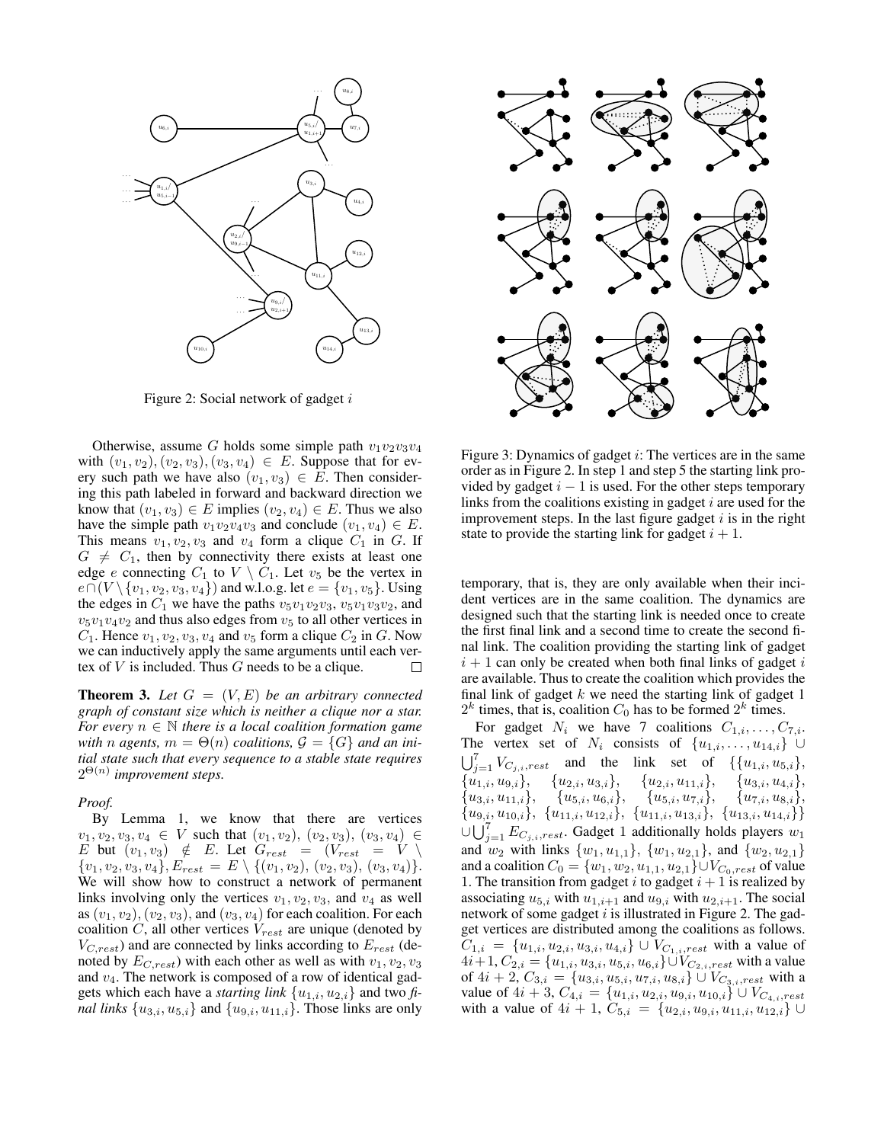

Figure 2: Social network of gadget i

Otherwise, assume G holds some simple path  $v_1v_2v_3v_4$ with  $(v_1, v_2), (v_2, v_3), (v_3, v_4) \in E$ . Suppose that for every such path we have also  $(v_1, v_3) \in E$ . Then considering this path labeled in forward and backward direction we know that  $(v_1, v_3) \in E$  implies  $(v_2, v_4) \in E$ . Thus we also have the simple path  $v_1v_2v_4v_3$  and conclude  $(v_1, v_4) \in E$ . This means  $v_1, v_2, v_3$  and  $v_4$  form a clique  $C_1$  in G. If  $G \neq C_1$ , then by connectivity there exists at least one edge e connecting  $C_1$  to  $V \setminus C_1$ . Let  $v_5$  be the vertex in  $e \cap (V \setminus \{v_1, v_2, v_3, v_4\})$  and w.l.o.g. let  $e = \{v_1, v_5\}$ . Using the edges in  $C_1$  we have the paths  $v_5v_1v_2v_3$ ,  $v_5v_1v_3v_2$ , and  $v_5v_1v_4v_2$  and thus also edges from  $v_5$  to all other vertices in  $C_1$ . Hence  $v_1, v_2, v_3, v_4$  and  $v_5$  form a clique  $C_2$  in G. Now we can inductively apply the same arguments until each vertex of  $V$  is included. Thus  $G$  needs to be a clique.  $\Box$ 

**Theorem 3.** Let  $G = (V, E)$  be an arbitrary connected *graph of constant size which is neither a clique nor a star. For every*  $n \in \mathbb{N}$  *there is a local coalition formation game with n agents*,  $m = \Theta(n)$  *coalitions*,  $\mathcal{G} = \{G\}$  *and an initial state such that every sequence to a stable state requires* 2 Θ(n) *improvement steps.*

#### *Proof.*

By Lemma 1, we know that there are vertices  $v_1, v_2, v_3, v_4 \in V$  such that  $(v_1, v_2), (v_2, v_3), (v_3, v_4) \in$ E but  $(v_1, v_3) \notin E$ . Let  $G_{rest} = (V_{rest} = V)$  $\{v_1, v_2, v_3, v_4\}, E'_{rest} = E \setminus \{(v_1, v_2), (v_2, v_3), (v_3, v_4)\}.$ We will show how to construct a network of permanent links involving only the vertices  $v_1, v_2, v_3$ , and  $v_4$  as well as  $(v_1, v_2), (v_2, v_3)$ , and  $(v_3, v_4)$  for each coalition. For each coalition  $C$ , all other vertices  $V_{rest}$  are unique (denoted by  $V_{C,rest}$ ) and are connected by links according to  $E_{rest}$  (denoted by  $E_{C,rest}$ ) with each other as well as with  $v_1, v_2, v_3$ and  $v_4$ . The network is composed of a row of identical gadgets which each have a *starting link*  $\{u_{1,i}, u_{2,i}\}$  and two  $\hat{\mu}$ *nal links*  $\{u_{3,i}, u_{5,i}\}\$  and  $\{u_{9,i}, u_{11,i}\}\$ . Those links are only



Figure 3: Dynamics of gadget *i*: The vertices are in the same order as in Figure 2. In step 1 and step 5 the starting link provided by gadget  $i - 1$  is used. For the other steps temporary links from the coalitions existing in gadget  $i$  are used for the improvement steps. In the last figure gadget  $i$  is in the right state to provide the starting link for gadget  $i + 1$ .

temporary, that is, they are only available when their incident vertices are in the same coalition. The dynamics are designed such that the starting link is needed once to create the first final link and a second time to create the second final link. The coalition providing the starting link of gadget  $i + 1$  can only be created when both final links of gadget i are available. Thus to create the coalition which provides the final link of gadget  $k$  we need the starting link of gadget 1  $2^k$  times, that is, coalition  $C_0$  has to be formed  $2^k$  times.

For gadget  $N_i$  we have 7 coalitions  $C_{1,i}, \ldots, C_{7,i}$ . The vertex set of  $N_i$  consists of  $\{u_{1,i}, \ldots, u_{14,i}\}$  ∪  $\bigcup_{j=1}^7 V_{C_{j,i},rest}$  and the link set of  $\{\{u_{1,i}, u_{5,i}\},\}$  ${u_{1,i}, u_{9,i}}, \quad {u_{2,i}, u_{3,i}}, \quad {u_{2,i}, u_{11,i}}, \quad {u_{3,i}, u_{4,i}},$  ${u_{3,i}, u_{11,i}}, \quad {u_{5,i}, u_{6,i}}, \quad {u_{5,i}, u_{7,i}}, \quad {u_{7,i}, u_{8,i}},$  ${u_{9,i}, u_{10,i}}, \{u_{11,i}, u_{12,i}\}, \{u_{11,i}, u_{13,i}\}, \{u_{13,i}, u_{14,i}\}$  $\cup \bigcup_{j=1}^{7} E_{C_{j,i},rest}$ . Gadget 1 additionally holds players  $w_1$ and  $w_2$  with links  $\{w_1, u_{1,1}\}, \{w_1, u_{2,1}\},$  and  $\{w_2, u_{2,1}\}$ and a coalition  $C_0 = \{w_1, w_2, u_{1,1}, u_{2,1}\} \cup V_{C_0,rest}$  of value 1. The transition from gadget i to gadget  $i + 1$  is realized by associating  $u_{5,i}$  with  $u_{1,i+1}$  and  $u_{9,i}$  with  $u_{2,i+1}$ . The social network of some gadget  $i$  is illustrated in Figure 2. The gadget vertices are distributed among the coalitions as follows.  $C_{1,i} = \{u_{1,i}, u_{2,i}, u_{3,i}, u_{4,i}\} \cup V_{C_{1,i},rest}$  with a value of  $4i+1, C_{2,i} = \{u_{1,i}, u_{3,i}, u_{5,i}, u_{6,i}\} \cup V_{C_{2,i},rest}$  with a value of  $4i+2$ ,  $C_{3,i} = \{u_{3,i}, u_{5,i}, u_{7,i}, u_{8,i}\} \cup V_{C_{3,i},rest}$  with a value of  $4i + 3$ ,  $C_{4,i} = \{u_{1,i}, u_{2,i}, u_{9,i}, u_{10,i}\} \cup V_{C_{4,i},rest}$ with a value of  $4i + 1$ ,  $C_{5,i} = \{u_{2,i}, u_{9,i}, u_{11,i}, u_{12,i}\}$  ∪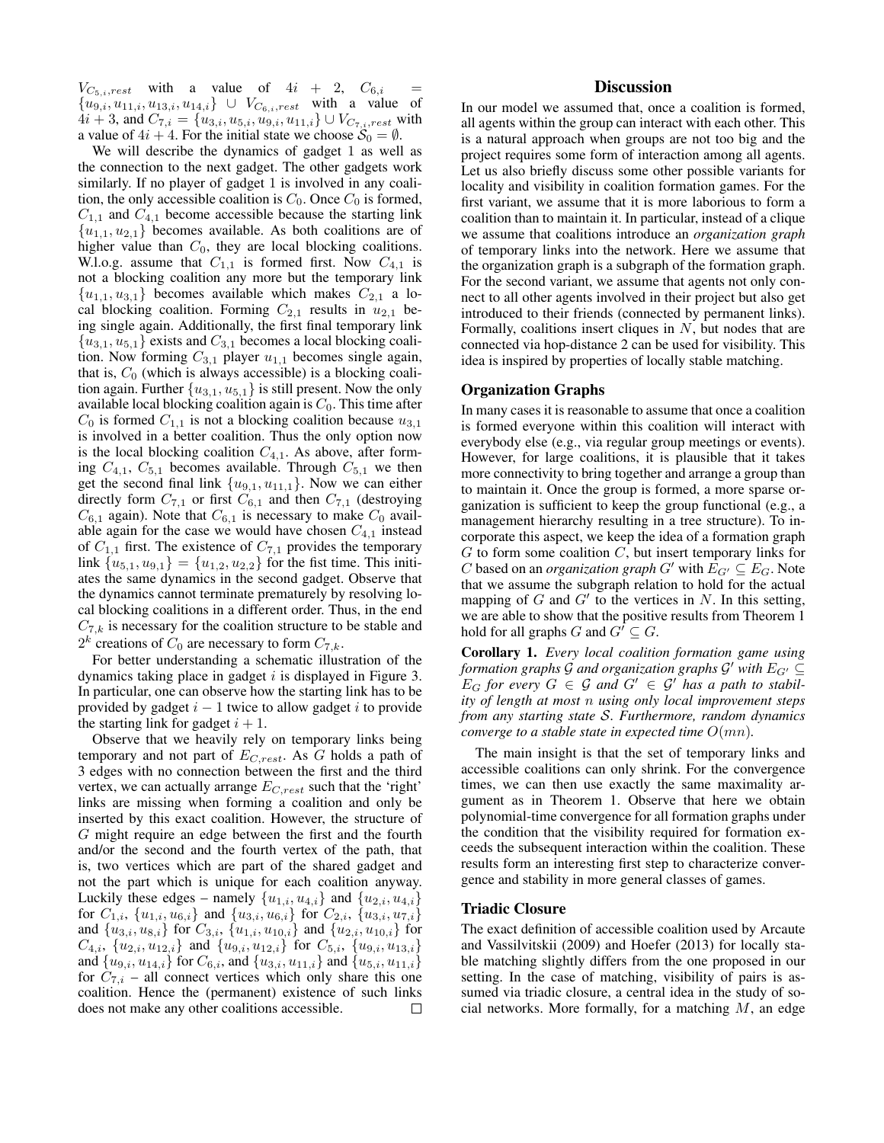$V_{C_{5,i},rest}$  with a value of  $4i + 2$ ,  $C_{6,i}$  ${u_{9,i}, u_{11,i}, u_{13,i}, u_{14,i}} \cup V_{C_{6,i},rest}$  with a value of  $4i + 3$ , and  $C_{7,i} = \{u_{3,i}, u_{5,i}, u_{9,i}, u_{11,i}\} \cup V_{C_{7,i},rest}$  with a value of  $4i + 4$ . For the initial state we choose  $S_0 = \emptyset$ .

We will describe the dynamics of gadget 1 as well as the connection to the next gadget. The other gadgets work similarly. If no player of gadget 1 is involved in any coalition, the only accessible coalition is  $C_0$ . Once  $C_0$  is formed,  $C_{1,1}$  and  $C_{4,1}$  become accessible because the starting link  ${u_{1,1}, u_{2,1}}$  becomes available. As both coalitions are of higher value than  $C_0$ , they are local blocking coalitions. W.l.o.g. assume that  $C_{1,1}$  is formed first. Now  $C_{4,1}$  is not a blocking coalition any more but the temporary link  ${u_{1,1}, u_{3,1}}$  becomes available which makes  $C_{2,1}$  a local blocking coalition. Forming  $C_{2,1}$  results in  $u_{2,1}$  being single again. Additionally, the first final temporary link  ${u_{3,1}, u_{5,1}}$  exists and  $C_{3,1}$  becomes a local blocking coalition. Now forming  $C_{3,1}$  player  $u_{1,1}$  becomes single again, that is,  $C_0$  (which is always accessible) is a blocking coalition again. Further  $\{u_{3,1}, u_{5,1}\}$  is still present. Now the only available local blocking coalition again is  $C_0$ . This time after  $C_0$  is formed  $C_{1,1}$  is not a blocking coalition because  $u_{3,1}$ is involved in a better coalition. Thus the only option now is the local blocking coalition  $C_{4,1}$ . As above, after forming  $C_{4,1}$ ,  $C_{5,1}$  becomes available. Through  $C_{5,1}$  we then get the second final link  $\{u_{9,1}, u_{11,1}\}$ . Now we can either directly form  $C_{7,1}$  or first  $C_{6,1}$  and then  $C_{7,1}$  (destroying  $C_{6,1}$  again). Note that  $C_{6,1}$  is necessary to make  $C_0$  available again for the case we would have chosen  $C_{4,1}$  instead of  $C_{1,1}$  first. The existence of  $C_{7,1}$  provides the temporary link  ${u_{5,1}, u_{9,1}} = {u_{1,2}, u_{2,2}}$  for the fist time. This initiates the same dynamics in the second gadget. Observe that the dynamics cannot terminate prematurely by resolving local blocking coalitions in a different order. Thus, in the end  $C_{7,k}$  is necessary for the coalition structure to be stable and  $2^k$  creations of  $C_0$  are necessary to form  $C_{7,k}$ .

For better understanding a schematic illustration of the dynamics taking place in gadget  $i$  is displayed in Figure 3. In particular, one can observe how the starting link has to be provided by gadget  $i - 1$  twice to allow gadget i to provide the starting link for gadget  $i + 1$ .

Observe that we heavily rely on temporary links being temporary and not part of  $E_{C,rest}$ . As G holds a path of 3 edges with no connection between the first and the third vertex, we can actually arrange  $E_{C,rest}$  such that the 'right' links are missing when forming a coalition and only be inserted by this exact coalition. However, the structure of G might require an edge between the first and the fourth and/or the second and the fourth vertex of the path, that is, two vertices which are part of the shared gadget and not the part which is unique for each coalition anyway. Luckily these edges – namely  $\{u_{1,i}, u_{4,i}\}$  and  $\{u_{2,i}, u_{4,i}\}$ for  $C_{1,i}$ ,  $\{u_{1,i}, u_{6,i}\}$  and  $\{u_{3,i}, u_{6,i}\}$  for  $C_{2,i}$ ,  $\{u_{3,i}, u_{7,i}\}$ and  ${u_{3,i}, u_{8,i}}$  for  $C_{3,i}$ ,  ${u_{1,i}, u_{10,i}}$  and  ${u_{2,i}, u_{10,i}}$  for  $C_{4,i}$ ,  $\{u_{2,i}, u_{12,i}\}$  and  $\{u_{9,i}, u_{12,i}\}$  for  $C_{5,i}$ ,  $\{u_{9,i}, u_{13,i}\}$ and  $\{u_{9,i}, u_{14,i}\}$  for  $C_{6,i}$ , and  $\{u_{3,i}, u_{11,i}\}$  and  $\{u_{5,i}, u_{11,i}\}$ for  $C_{7,i}$  – all connect vertices which only share this one coalition. Hence the (permanent) existence of such links does not make any other coalitions accessible.  $\Box$ 

## **Discussion**

In our model we assumed that, once a coalition is formed, all agents within the group can interact with each other. This is a natural approach when groups are not too big and the project requires some form of interaction among all agents. Let us also briefly discuss some other possible variants for locality and visibility in coalition formation games. For the first variant, we assume that it is more laborious to form a coalition than to maintain it. In particular, instead of a clique we assume that coalitions introduce an *organization graph* of temporary links into the network. Here we assume that the organization graph is a subgraph of the formation graph. For the second variant, we assume that agents not only connect to all other agents involved in their project but also get introduced to their friends (connected by permanent links). Formally, coalitions insert cliques in  $N$ , but nodes that are connected via hop-distance 2 can be used for visibility. This idea is inspired by properties of locally stable matching.

### Organization Graphs

In many cases it is reasonable to assume that once a coalition is formed everyone within this coalition will interact with everybody else (e.g., via regular group meetings or events). However, for large coalitions, it is plausible that it takes more connectivity to bring together and arrange a group than to maintain it. Once the group is formed, a more sparse organization is sufficient to keep the group functional (e.g., a management hierarchy resulting in a tree structure). To incorporate this aspect, we keep the idea of a formation graph  $G$  to form some coalition  $C$ , but insert temporary links for C based on an *organization graph* G' with  $E_{G'} \subseteq E_G$ . Note that we assume the subgraph relation to hold for the actual mapping of  $G$  and  $G'$  to the vertices in  $N$ . In this setting, we are able to show that the positive results from Theorem 1 hold for all graphs G and  $G' \subseteq G$ .

Corollary 1. *Every local coalition formation game using* formation graphs  $\mathcal G$  and organization graphs  $\mathcal G'$  with  $E_{G'} \subseteq$  $E_G$  for every  $G \in \mathcal{G}$  and  $G' \in \mathcal{G}'$  has a path to stabil*ity of length at most* n *using only local improvement steps from any starting state* S*. Furthermore, random dynamics converge to a stable state in expected time*  $O(mn)$ *.* 

The main insight is that the set of temporary links and accessible coalitions can only shrink. For the convergence times, we can then use exactly the same maximality argument as in Theorem 1. Observe that here we obtain polynomial-time convergence for all formation graphs under the condition that the visibility required for formation exceeds the subsequent interaction within the coalition. These results form an interesting first step to characterize convergence and stability in more general classes of games.

#### Triadic Closure

The exact definition of accessible coalition used by Arcaute and Vassilvitskii (2009) and Hoefer (2013) for locally stable matching slightly differs from the one proposed in our setting. In the case of matching, visibility of pairs is assumed via triadic closure, a central idea in the study of social networks. More formally, for a matching  $M$ , an edge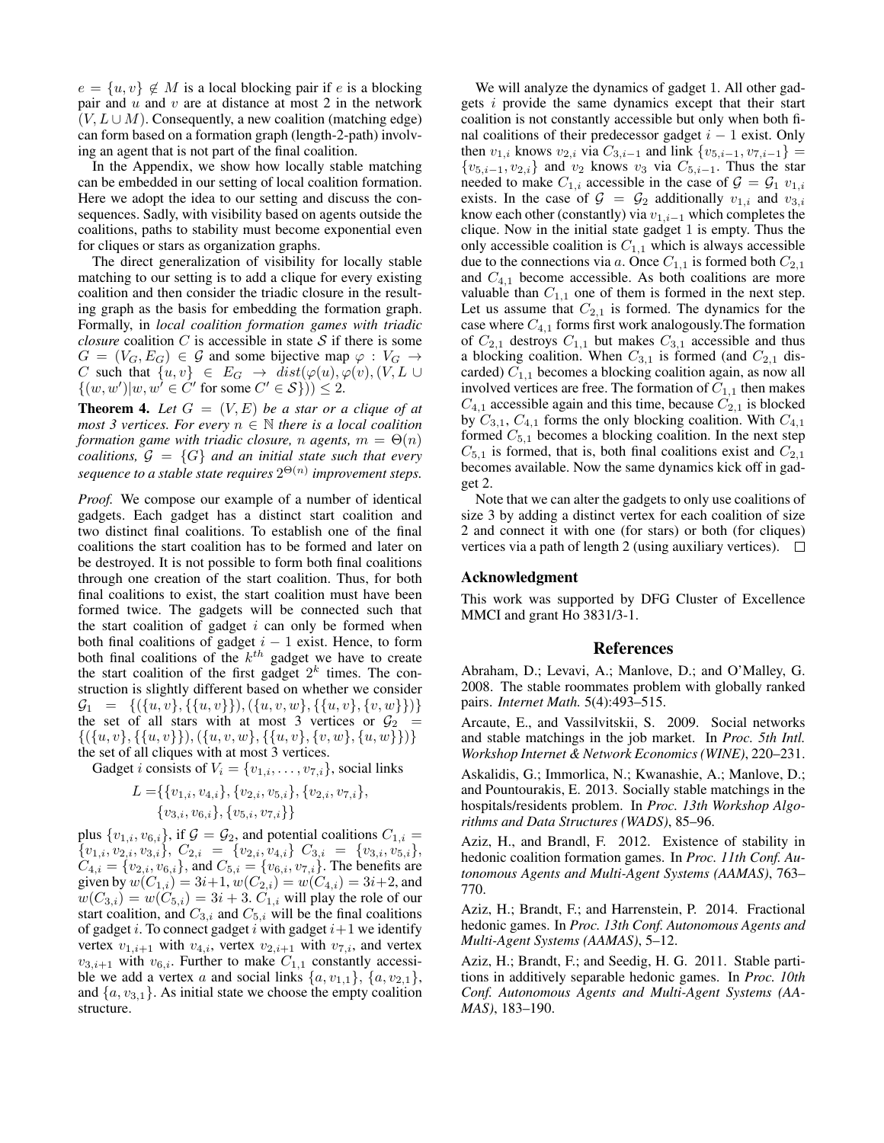$e = \{u, v\} \notin M$  is a local blocking pair if e is a blocking pair and  $u$  and  $v$  are at distance at most 2 in the network  $(V, L \cup M)$ . Consequently, a new coalition (matching edge) can form based on a formation graph (length-2-path) involving an agent that is not part of the final coalition.

In the Appendix, we show how locally stable matching can be embedded in our setting of local coalition formation. Here we adopt the idea to our setting and discuss the consequences. Sadly, with visibility based on agents outside the coalitions, paths to stability must become exponential even for cliques or stars as organization graphs.

The direct generalization of visibility for locally stable matching to our setting is to add a clique for every existing coalition and then consider the triadic closure in the resulting graph as the basis for embedding the formation graph. Formally, in *local coalition formation games with triadic closure* coalition  $C$  is accessible in state  $S$  if there is some  $G = (V_G, E_G) \in \mathcal{G}$  and some bijective map  $\varphi : V_G \to$ C such that  $\{u, v\} \in E_G \rightarrow dist(\varphi(u), \varphi(v), (V, L \cup$  $\{(w, w')|w, w' \in C' \text{ for some } C' \in S\})\geq 2.$ 

**Theorem 4.** Let  $G = (V, E)$  be a star or a clique of at *most 3 vertices. For every*  $n \in \mathbb{N}$  *there is a local coalition formation game with triadic closure, n agents,*  $m = \Theta(n)$ *coalitions,*  $G = \{G\}$  *and an initial state such that every sequence to a stable state requires* 2 Θ(n) *improvement steps.*

*Proof.* We compose our example of a number of identical gadgets. Each gadget has a distinct start coalition and two distinct final coalitions. To establish one of the final coalitions the start coalition has to be formed and later on be destroyed. It is not possible to form both final coalitions through one creation of the start coalition. Thus, for both final coalitions to exist, the start coalition must have been formed twice. The gadgets will be connected such that the start coalition of gadget  $i$  can only be formed when both final coalitions of gadget  $i - 1$  exist. Hence, to form both final coalitions of the  $k^{th}$  gadget we have to create the start coalition of the first gadget  $2^k$  times. The construction is slightly different based on whether we consider  $\mathcal{G}_1 = \{ (\{u, v\}, \{\{u, v\}\}), (\{u, v, w\}, \{\{u, v\}, \{v, w\}\})\}$ the set of all stars with at most 3 vertices or  $\mathcal{G}_2$  =  $\{(\{u, v\}, \{\{u, v\}\}), (\{u, v, w\}, \{\{u, v\}, \{v, w\}, \{u, w\}\})\}\$ the set of all cliques with at most 3 vertices.

Gadget *i* consists of  $V_i = \{v_{1,i}, \ldots, v_{7,i}\}\$ , social links

$$
L = \{ \{v_{1,i}, v_{4,i}\}, \{v_{2,i}, v_{5,i}\}, \{v_{2,i}, v_{7,i}\}, \{v_{3,i}, v_{6,i}\}, \{v_{5,i}, v_{7,i}\} \}
$$

plus  $\{v_{1,i}, v_{6,i}\}\$ , if  $\mathcal{G} = \mathcal{G}_2$ , and potential coalitions  $C_{1,i} =$  ${v_{1,i}, v_{2,i}, v_{3,i}}$ ,  $C_{2,i} = {v_{2,i}, v_{4,i}} C_{3,i} = {v_{3,i}, v_{5,i}}$  $C_{4,i} = \{v_{2,i}, v_{6,i}\}\$ , and  $C_{5,i} = \{v_{6,i}, v_{7,i}\}\$ . The benefits are given by  $w(C_{1,i}) = 3i+1, w(C_{2,i}) = w(C_{4,i}) = 3i+2$ , and  $w(C_{3,i}) = w(C_{5,i}) = 3i + 3$ .  $C_{1,i}$  will play the role of our start coalition, and  $C_{3,i}$  and  $C_{5,i}$  will be the final coalitions of gadget i. To connect gadget i with gadget  $i+1$  we identify vertex  $v_{1,i+1}$  with  $v_{4,i}$ , vertex  $v_{2,i+1}$  with  $v_{7,i}$ , and vertex  $v_{3,i+1}$  with  $v_{6,i}$ . Further to make  $C_{1,1}$  constantly accessible we add a vertex a and social links  $\{a, v_{1,1}\}, \{a, v_{2,1}\},\$ and  $\{a, v_{3,1}\}.$  As initial state we choose the empty coalition structure.

We will analyze the dynamics of gadget 1. All other gadgets i provide the same dynamics except that their start coalition is not constantly accessible but only when both final coalitions of their predecessor gadget  $i - 1$  exist. Only then  $v_{1,i}$  knows  $v_{2,i}$  via  $C_{3,i-1}$  and link  $\{v_{5,i-1}, v_{7,i-1}\}$  =  $\{v_{5,i-1}, v_{2,i}\}\$ and  $v_2$  knows  $v_3$  via  $C_{5,i-1}$ . Thus the star needed to make  $C_{1,i}$  accessible in the case of  $\mathcal{G} = \mathcal{G}_1 v_{1,i}$ exists. In the case of  $G = G_2$  additionally  $v_{1,i}$  and  $v_{3,i}$ know each other (constantly) via  $v_{1,i-1}$  which completes the clique. Now in the initial state gadget 1 is empty. Thus the only accessible coalition is  $C_{1,1}$  which is always accessible due to the connections via a. Once  $C_{1,1}$  is formed both  $C_{2,1}$ and  $C_{4,1}$  become accessible. As both coalitions are more valuable than  $C_{1,1}$  one of them is formed in the next step. Let us assume that  $C_{2,1}$  is formed. The dynamics for the case where  $C_{4,1}$  forms first work analogously. The formation of  $C_{2,1}$  destroys  $C_{1,1}$  but makes  $C_{3,1}$  accessible and thus a blocking coalition. When  $C_{3,1}$  is formed (and  $C_{2,1}$  discarded)  $C_{1,1}$  becomes a blocking coalition again, as now all involved vertices are free. The formation of  $C_{1,1}$  then makes  $C_{4,1}$  accessible again and this time, because  $C_{2,1}$  is blocked by  $C_{3,1}$ ,  $C_{4,1}$  forms the only blocking coalition. With  $C_{4,1}$ formed  $C_{5,1}$  becomes a blocking coalition. In the next step  $C_{5,1}$  is formed, that is, both final coalitions exist and  $C_{2,1}$ becomes available. Now the same dynamics kick off in gadget 2.

Note that we can alter the gadgets to only use coalitions of size 3 by adding a distinct vertex for each coalition of size 2 and connect it with one (for stars) or both (for cliques) vertices via a path of length 2 (using auxiliary vertices).  $\Box$ 

### Acknowledgment

This work was supported by DFG Cluster of Excellence MMCI and grant Ho 3831/3-1.

#### References

Abraham, D.; Levavi, A.; Manlove, D.; and O'Malley, G. 2008. The stable roommates problem with globally ranked pairs. *Internet Math.* 5(4):493–515.

Arcaute, E., and Vassilvitskii, S. 2009. Social networks and stable matchings in the job market. In *Proc. 5th Intl. Workshop Internet & Network Economics (WINE)*, 220–231.

Askalidis, G.; Immorlica, N.; Kwanashie, A.; Manlove, D.; and Pountourakis, E. 2013. Socially stable matchings in the hospitals/residents problem. In *Proc. 13th Workshop Algorithms and Data Structures (WADS)*, 85–96.

Aziz, H., and Brandl, F. 2012. Existence of stability in hedonic coalition formation games. In *Proc. 11th Conf. Autonomous Agents and Multi-Agent Systems (AAMAS)*, 763– 770.

Aziz, H.; Brandt, F.; and Harrenstein, P. 2014. Fractional hedonic games. In *Proc. 13th Conf. Autonomous Agents and Multi-Agent Systems (AAMAS)*, 5–12.

Aziz, H.; Brandt, F.; and Seedig, H. G. 2011. Stable partitions in additively separable hedonic games. In *Proc. 10th Conf. Autonomous Agents and Multi-Agent Systems (AA-MAS)*, 183–190.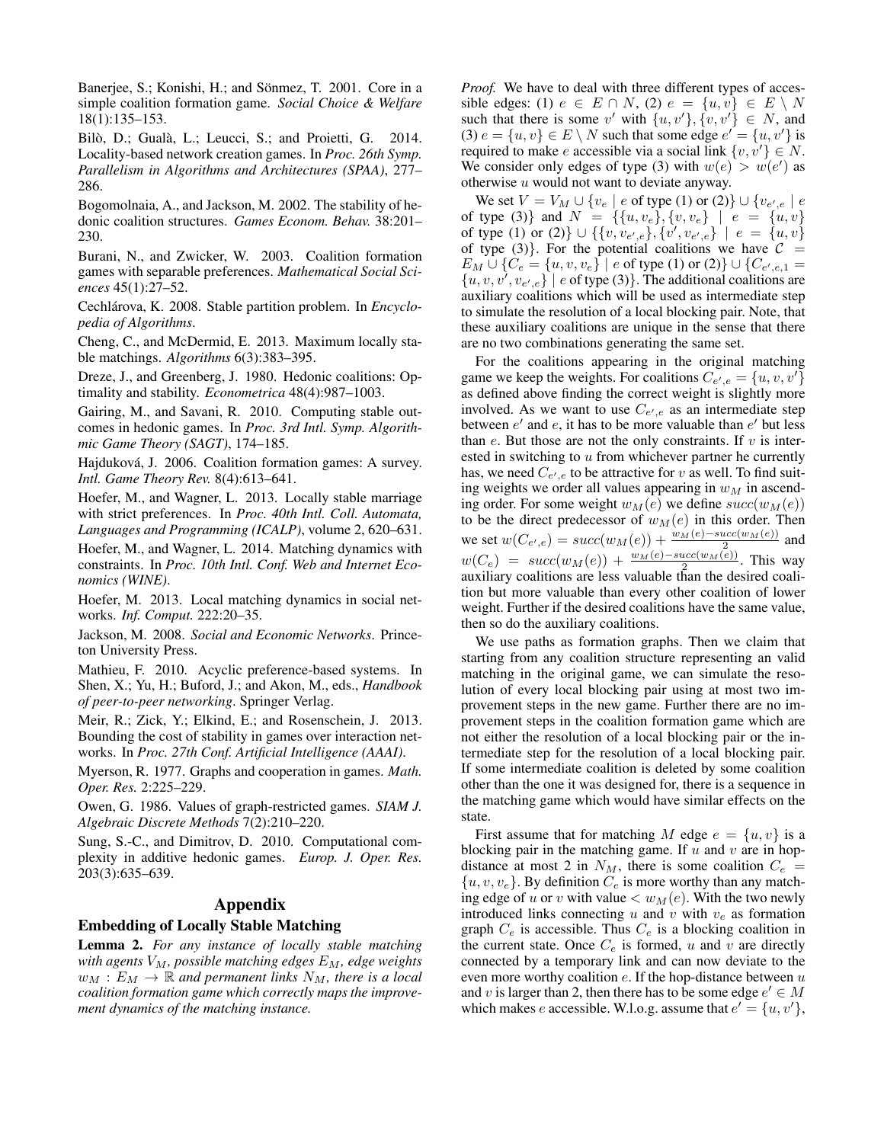Banerjee, S.; Konishi, H.; and Sönmez, T. 2001. Core in a simple coalition formation game. *Social Choice & Welfare* 18(1):135–153.

Bilò, D.; Gualà, L.; Leucci, S.; and Proietti, G. 2014. Locality-based network creation games. In *Proc. 26th Symp. Parallelism in Algorithms and Architectures (SPAA)*, 277– 286.

Bogomolnaia, A., and Jackson, M. 2002. The stability of hedonic coalition structures. *Games Econom. Behav.* 38:201– 230.

Burani, N., and Zwicker, W. 2003. Coalition formation games with separable preferences. *Mathematical Social Sciences* 45(1):27–52.

Cechlárova, K. 2008. Stable partition problem. In *Encyclopedia of Algorithms*.

Cheng, C., and McDermid, E. 2013. Maximum locally stable matchings. *Algorithms* 6(3):383–395.

Dreze, J., and Greenberg, J. 1980. Hedonic coalitions: Optimality and stability. *Econometrica* 48(4):987–1003.

Gairing, M., and Savani, R. 2010. Computing stable outcomes in hedonic games. In *Proc. 3rd Intl. Symp. Algorithmic Game Theory (SAGT)*, 174–185.

Hajduková, J. 2006. Coalition formation games: A survey. *Intl. Game Theory Rev.* 8(4):613–641.

Hoefer, M., and Wagner, L. 2013. Locally stable marriage with strict preferences. In *Proc. 40th Intl. Coll. Automata, Languages and Programming (ICALP)*, volume 2, 620–631.

Hoefer, M., and Wagner, L. 2014. Matching dynamics with constraints. In *Proc. 10th Intl. Conf. Web and Internet Economics (WINE)*.

Hoefer, M. 2013. Local matching dynamics in social networks. *Inf. Comput.* 222:20–35.

Jackson, M. 2008. *Social and Economic Networks*. Princeton University Press.

Mathieu, F. 2010. Acyclic preference-based systems. In Shen, X.; Yu, H.; Buford, J.; and Akon, M., eds., *Handbook of peer-to-peer networking*. Springer Verlag.

Meir, R.; Zick, Y.; Elkind, E.; and Rosenschein, J. 2013. Bounding the cost of stability in games over interaction networks. In *Proc. 27th Conf. Artificial Intelligence (AAAI)*.

Myerson, R. 1977. Graphs and cooperation in games. *Math. Oper. Res.* 2:225–229.

Owen, G. 1986. Values of graph-restricted games. *SIAM J. Algebraic Discrete Methods* 7(2):210–220.

Sung, S.-C., and Dimitrov, D. 2010. Computational complexity in additive hedonic games. *Europ. J. Oper. Res.* 203(3):635–639.

# Appendix

### Embedding of Locally Stable Matching

Lemma 2. *For any instance of locally stable matching with agents*  $V_M$ , possible matching edges  $E_M$ , edge weights  $w_M : E_M \to \mathbb{R}$  and permanent links  $N_M$ , there is a local *coalition formation game which correctly maps the improvement dynamics of the matching instance.*

*Proof.* We have to deal with three different types of accessible edges: (1)  $e \in E \cap N$ , (2)  $e = \{u, v\} \in E \setminus N$ such that there is some v' with  $\{u, v'\}, \{v, v'\} \in N$ , and (3)  $e = \{u, v\} \in E \setminus N$  such that some edge  $e' = \{u, v'\}$  is required to make e accessible via a social link  $\{v, v'\} \in N$ . We consider only edges of type (3) with  $w(e) > w(e')$  as otherwise  $u$  would not want to deviate anyway.

We set  $V = V_M \cup \{v_e \mid e \text{ of type (1) or (2)}\} \cup \{v_{e',e} \mid e\}$ of type (3)} and  $N = \{ \{u, v_e\}, \{v, v_e\} \mid e = \{u, v\}$ of type (1) or (2)}  $\cup$  {{v, v<sub>e',e</sub>}, {v', v<sub>e',e</sub>} | e = {u, v} of type (3). For the potential coalitions we have  $C =$  $E_M \cup \{C_e = \{u, v, v_e\} \mid e \text{ of type (1) or (2)}\} \cup \{C_{e', e, 1} =$  $\{u, v, v^{\prime}, v_{e^{\prime}, e}\}\$  | e of type (3)}. The additional coalitions are auxiliary coalitions which will be used as intermediate step to simulate the resolution of a local blocking pair. Note, that these auxiliary coalitions are unique in the sense that there are no two combinations generating the same set.

For the coalitions appearing in the original matching game we keep the weights. For coalitions  $C_{e',e} = \{u, v, v'\}$ as defined above finding the correct weight is slightly more involved. As we want to use  $C_{e',e}$  as an intermediate step between  $e'$  and  $e$ , it has to be more valuable than  $e'$  but less than  $e$ . But those are not the only constraints. If  $v$  is interested in switching to  $u$  from whichever partner he currently has, we need  $C_{e',e}$  to be attractive for v as well. To find suiting weights we order all values appearing in  $w_M$  in ascending order. For some weight  $w_M(e)$  we define  $succ(w_M(e))$ to be the direct predecessor of  $w_M(e)$  in this order. Then we set  $w(C_{e',e}) = succ(w_M(e)) + \frac{w_M(e) - succ(w_M(e))}{2}$  and  $w(C_e) = succ(w_M(e)) + \frac{w_M(e) - succ(w_M(e))}{2}$ . This way auxiliary coalitions are less valuable than the desired coalition but more valuable than every other coalition of lower weight. Further if the desired coalitions have the same value, then so do the auxiliary coalitions.

We use paths as formation graphs. Then we claim that starting from any coalition structure representing an valid matching in the original game, we can simulate the resolution of every local blocking pair using at most two improvement steps in the new game. Further there are no improvement steps in the coalition formation game which are not either the resolution of a local blocking pair or the intermediate step for the resolution of a local blocking pair. If some intermediate coalition is deleted by some coalition other than the one it was designed for, there is a sequence in the matching game which would have similar effects on the state.

First assume that for matching M edge  $e = \{u, v\}$  is a blocking pair in the matching game. If  $u$  and  $v$  are in hopdistance at most 2 in  $N_M$ , there is some coalition  $C_e$  =  $\{u, v, v_e\}$ . By definition  $C_e$  is more worthy than any matching edge of u or v with value  $\langle w_M(e)$ . With the two newly introduced links connecting u and v with  $v_e$  as formation graph  $C_e$  is accessible. Thus  $C_e$  is a blocking coalition in the current state. Once  $C_e$  is formed, u and v are directly connected by a temporary link and can now deviate to the even more worthy coalition  $e$ . If the hop-distance between  $u$ and v is larger than 2, then there has to be some edge  $e' \in M$ which makes e accessible. W.l.o.g. assume that  $e' = \{u, v'\},$